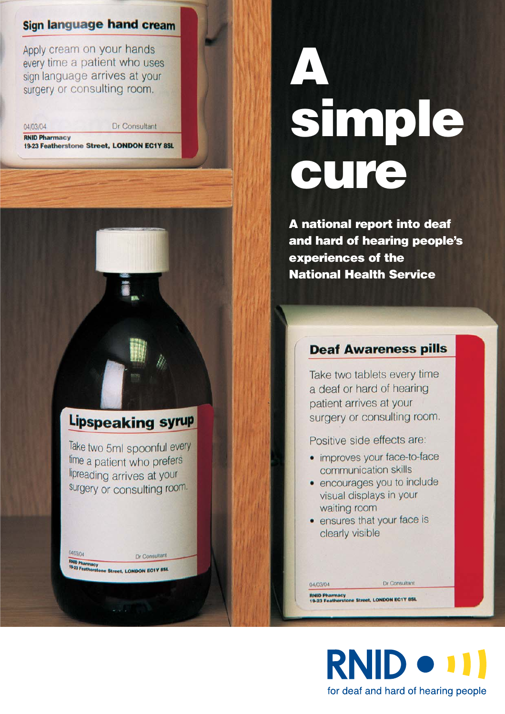## **Sign language hand cream**

Apply cream on your hands every time a patient who uses sign language arrives at your surgery or consulting room.

04/03/04

Dr Consultant

**RNID Pharmacy** 19-23 Featherstone Street, LONDON EC1Y 8SL

## Lipspeaking syrup

Take two 5ml spoonful every time a patient who prefers lipreading arrives at your surgery or consulting room.

**BND Pharmacy**<br>19-23 Featherstone Street, LONDON EC1Y BSL

Dr Consultant

04/03/04

# **A simple cure**

**A national report into deaf and hard of hearing people's experiences of the National Health Service**

## **Deaf Awareness pills**

Take two tablets every time a deaf or hard of hearing patient arrives at your surgery or consulting room.

Positive side effects are:

- improves your face-to-face communication skills
- · encourages you to include visual displays in your waiting room
- ensures that your face is clearly visible

RNID Pharmacy<br>19-23 Featherstone Street, LONDON EC1Y 8SL

04/03/04



Dr Consultant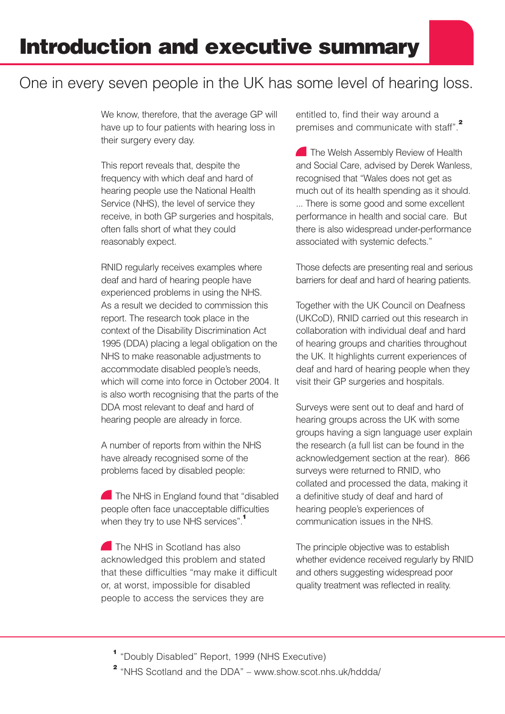# One in every seven people in the UK has some level of hearing loss.

We know, therefore, that the average GP will have up to four patients with hearing loss in their surgery every day.

This report reveals that, despite the frequency with which deaf and hard of hearing people use the National Health Service (NHS), the level of service they receive, in both GP surgeries and hospitals, often falls short of what they could reasonably expect.

RNID regularly receives examples where deaf and hard of hearing people have experienced problems in using the NHS. As a result we decided to commission this report. The research took place in the context of the Disability Discrimination Act 1995 (DDA) placing a legal obligation on the NHS to make reasonable adjustments to accommodate disabled people's needs, which will come into force in October 2004. It is also worth recognising that the parts of the DDA most relevant to deaf and hard of hearing people are already in force.

A number of reports from within the NHS have already recognised some of the problems faced by disabled people:

The NHS in England found that "disabled" people often face unacceptable difficulties when they try to use NHS services".**<sup>1</sup>**

The NHS in Scotland has also acknowledged this problem and stated that these difficulties "may make it difficult or, at worst, impossible for disabled people to access the services they are

entitled to, find their way around a premises and communicate with staff".**<sup>2</sup>**

**The Welsh Assembly Review of Health** and Social Care, advised by Derek Wanless, recognised that "Wales does not get as much out of its health spending as it should. ... There is some good and some excellent performance in health and social care. But there is also widespread under-performance associated with systemic defects."

Those defects are presenting real and serious barriers for deaf and hard of hearing patients.

Together with the UK Council on Deafness (UKCoD), RNID carried out this research in collaboration with individual deaf and hard of hearing groups and charities throughout the UK. It highlights current experiences of deaf and hard of hearing people when they visit their GP surgeries and hospitals.

Surveys were sent out to deaf and hard of hearing groups across the UK with some groups having a sign language user explain the research (a full list can be found in the acknowledgement section at the rear). 866 surveys were returned to RNID, who collated and processed the data, making it a definitive study of deaf and hard of hearing people's experiences of communication issues in the NHS.

The principle objective was to establish whether evidence received regularly by RNID and others suggesting widespread poor quality treatment was reflected in reality.

**<sup>1</sup>** "Doubly Disabled" Report, 1999 (NHS Executive)

**2** "NHS Scotland and the DDA" – www.show.scot.nhs.uk/hddda/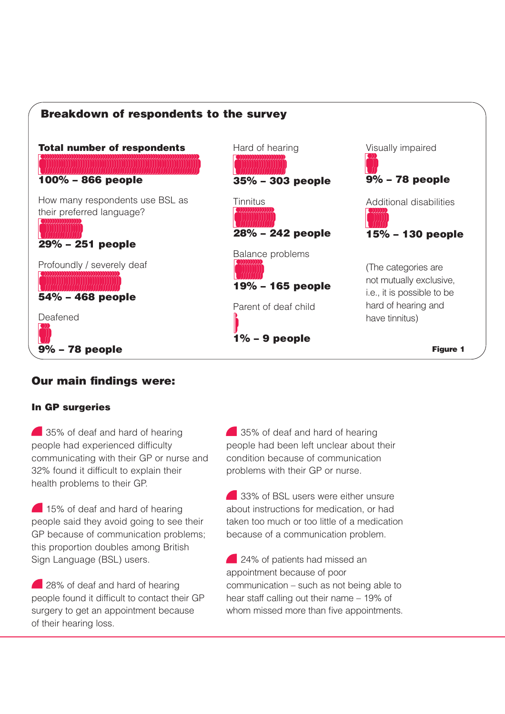

## **Our main findings were:**

#### **In GP surgeries**

**35%** of deaf and hard of hearing people had experienced difficulty communicating with their GP or nurse and 32% found it difficult to explain their health problems to their GP.

15% of deaf and hard of hearing people said they avoid going to see their GP because of communication problems; this proportion doubles among British Sign Language (BSL) users.

28% of deaf and hard of hearing people found it difficult to contact their GP surgery to get an appointment because of their hearing loss.

**35%** of deaf and hard of hearing people had been left unclear about their condition because of communication problems with their GP or nurse.

33% of BSL users were either unsure about instructions for medication, or had taken too much or too little of a medication because of a communication problem.

24% of patients had missed an appointment because of poor communication – such as not being able to hear staff calling out their name – 19% of whom missed more than five appointments.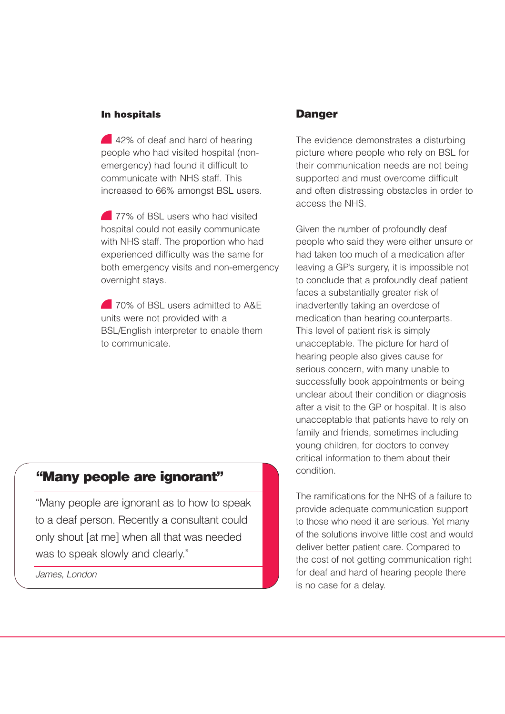#### **In hospitals**

42% of deaf and hard of hearing people who had visited hospital (nonemergency) had found it difficult to communicate with NHS staff. This increased to 66% amongst BSL users.

**277% of BSL users who had visited** hospital could not easily communicate with NHS staff. The proportion who had experienced difficulty was the same for both emergency visits and non-emergency overnight stays.

**20% of BSL users admitted to A&F** units were not provided with a BSL/English interpreter to enable them to communicate.

## **"Many people are ignorant"**

"Many people are ignorant as to how to speak to a deaf person. Recently a consultant could only shout [at me] when all that was needed was to speak slowly and clearly."

*James, London*

#### **Danger**

The evidence demonstrates a disturbing picture where people who rely on BSL for their communication needs are not being supported and must overcome difficult and often distressing obstacles in order to access the NHS.

Given the number of profoundly deaf people who said they were either unsure or had taken too much of a medication after leaving a GP's surgery, it is impossible not to conclude that a profoundly deaf patient faces a substantially greater risk of inadvertently taking an overdose of medication than hearing counterparts. This level of patient risk is simply unacceptable. The picture for hard of hearing people also gives cause for serious concern, with many unable to successfully book appointments or being unclear about their condition or diagnosis after a visit to the GP or hospital. It is also unacceptable that patients have to rely on family and friends, sometimes including young children, for doctors to convey critical information to them about their condition.

The ramifications for the NHS of a failure to provide adequate communication support to those who need it are serious. Yet many of the solutions involve little cost and would deliver better patient care. Compared to the cost of not getting communication right for deaf and hard of hearing people there is no case for a delay.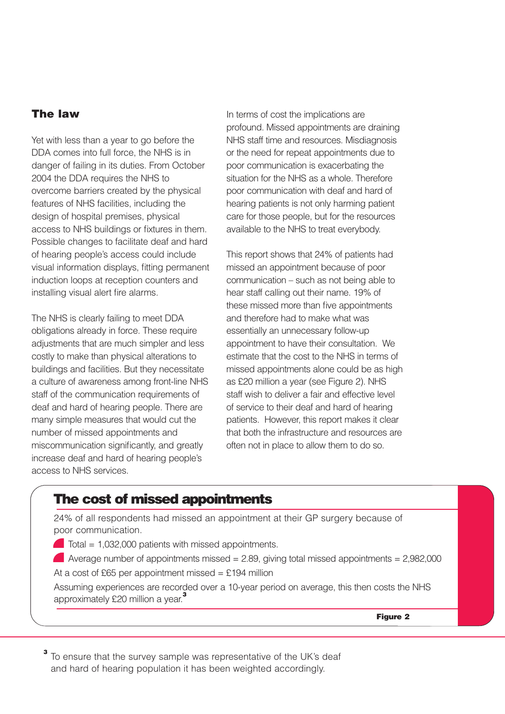#### **The law**

Yet with less than a year to go before the DDA comes into full force, the NHS is in danger of failing in its duties. From October 2004 the DDA requires the NHS to overcome barriers created by the physical features of NHS facilities, including the design of hospital premises, physical access to NHS buildings or fixtures in them. Possible changes to facilitate deaf and hard of hearing people's access could include visual information displays, fitting permanent induction loops at reception counters and installing visual alert fire alarms.

The NHS is clearly failing to meet DDA obligations already in force. These require adjustments that are much simpler and less costly to make than physical alterations to buildings and facilities. But they necessitate a culture of awareness among front-line NHS staff of the communication requirements of deaf and hard of hearing people. There are many simple measures that would cut the number of missed appointments and miscommunication significantly, and greatly increase deaf and hard of hearing people's access to NHS services.

In terms of cost the implications are profound. Missed appointments are draining NHS staff time and resources. Misdiagnosis or the need for repeat appointments due to poor communication is exacerbating the situation for the NHS as a whole. Therefore poor communication with deaf and hard of hearing patients is not only harming patient care for those people, but for the resources available to the NHS to treat everybody.

This report shows that 24% of patients had missed an appointment because of poor communication – such as not being able to hear staff calling out their name. 19% of these missed more than five appointments and therefore had to make what was essentially an unnecessary follow-up appointment to have their consultation. We estimate that the cost to the NHS in terms of missed appointments alone could be as high as £20 million a year (see Figure 2). NHS staff wish to deliver a fair and effective level of service to their deaf and hard of hearing patients. However, this report makes it clear that both the infrastructure and resources are often not in place to allow them to do so.

## **The cost of missed appointments**

24% of all respondents had missed an appointment at their GP surgery because of poor communication.

 $\blacksquare$  Total = 1,032,000 patients with missed appointments.

Average number of appointments missed =  $2.89$ , giving total missed appointments =  $2,982,000$ At a cost of £65 per appointment missed = £194 million

Assuming experiences are recorded over a 10-year period on average, this then costs the NHS approximately £20 million a year.**<sup>3</sup>**

**Figure 2**

**<sup>3</sup>** To ensure that the survey sample was representative of the UK's deaf and hard of hearing population it has been weighted accordingly.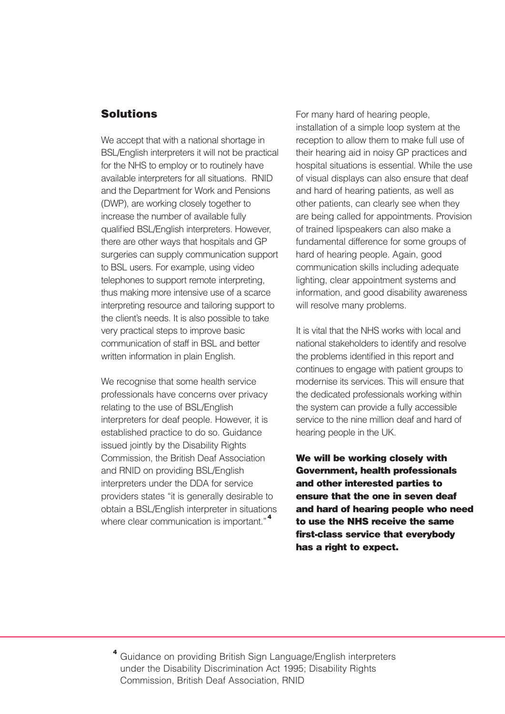#### **Solutions**

We accept that with a national shortage in BSL/English interpreters it will not be practical for the NHS to employ or to routinely have available interpreters for all situations. RNID and the Department for Work and Pensions (DWP), are working closely together to increase the number of available fully qualified BSL/English interpreters. However, there are other ways that hospitals and GP surgeries can supply communication support to BSL users. For example, using video telephones to support remote interpreting, thus making more intensive use of a scarce interpreting resource and tailoring support to the client's needs. It is also possible to take very practical steps to improve basic communication of staff in BSL and better written information in plain English.

We recognise that some health service professionals have concerns over privacy relating to the use of BSL/English interpreters for deaf people. However, it is established practice to do so. Guidance issued jointly by the Disability Rights Commission, the British Deaf Association and RNID on providing BSL/English interpreters under the DDA for service providers states "it is generally desirable to obtain a BSL/English interpreter in situations where clear communication is important."**<sup>4</sup>**

For many hard of hearing people, installation of a simple loop system at the reception to allow them to make full use of their hearing aid in noisy GP practices and hospital situations is essential. While the use of visual displays can also ensure that deaf and hard of hearing patients, as well as other patients, can clearly see when they are being called for appointments. Provision of trained lipspeakers can also make a fundamental difference for some groups of hard of hearing people. Again, good communication skills including adequate lighting, clear appointment systems and information, and good disability awareness will resolve many problems.

It is vital that the NHS works with local and national stakeholders to identify and resolve the problems identified in this report and continues to engage with patient groups to modernise its services. This will ensure that the dedicated professionals working within the system can provide a fully accessible service to the nine million deaf and hard of hearing people in the UK.

**We will be working closely with Government, health professionals and other interested parties to ensure that the one in seven deaf and hard of hearing people who need to use the NHS receive the same first-class service that everybody has a right to expect.**

**<sup>4</sup>** Guidance on providing British Sign Language/English interpreters under the Disability Discrimination Act 1995; Disability Rights Commission, British Deaf Association, RNID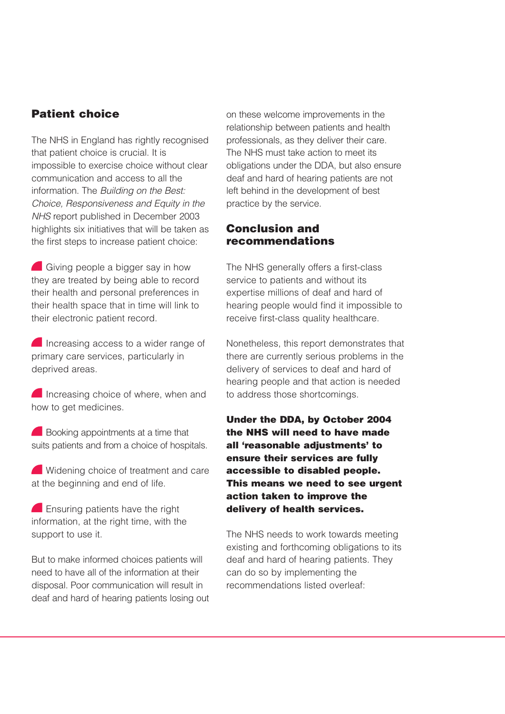## **Patient choice**

The NHS in England has rightly recognised that patient choice is crucial. It is impossible to exercise choice without clear communication and access to all the information. The *Building on the Best: Choice, Responsiveness and Equity in the NHS* report published in December 2003 highlights six initiatives that will be taken as the first steps to increase patient choice:

Giving people a bigger say in how they are treated by being able to record their health and personal preferences in their health space that in time will link to their electronic patient record.

Increasing access to a wider range of primary care services, particularly in deprived areas.

Increasing choice of where, when and how to get medicines.

Booking appointments at a time that suits patients and from a choice of hospitals.

Widening choice of treatment and care at the beginning and end of life.

**Ensuring patients have the right** information, at the right time, with the support to use it.

But to make informed choices patients will need to have all of the information at their disposal. Poor communication will result in deaf and hard of hearing patients losing out

on these welcome improvements in the relationship between patients and health professionals, as they deliver their care. The NHS must take action to meet its obligations under the DDA, but also ensure deaf and hard of hearing patients are not left behind in the development of best practice by the service.

#### **Conclusion and recommendations**

The NHS generally offers a first-class service to patients and without its expertise millions of deaf and hard of hearing people would find it impossible to receive first-class quality healthcare.

Nonetheless, this report demonstrates that there are currently serious problems in the delivery of services to deaf and hard of hearing people and that action is needed to address those shortcomings.

**Under the DDA, by October 2004 the NHS will need to have made all 'reasonable adjustments' to ensure their services are fully accessible to disabled people. This means we need to see urgent action taken to improve the delivery of health services.**

The NHS needs to work towards meeting existing and forthcoming obligations to its deaf and hard of hearing patients. They can do so by implementing the recommendations listed overleaf: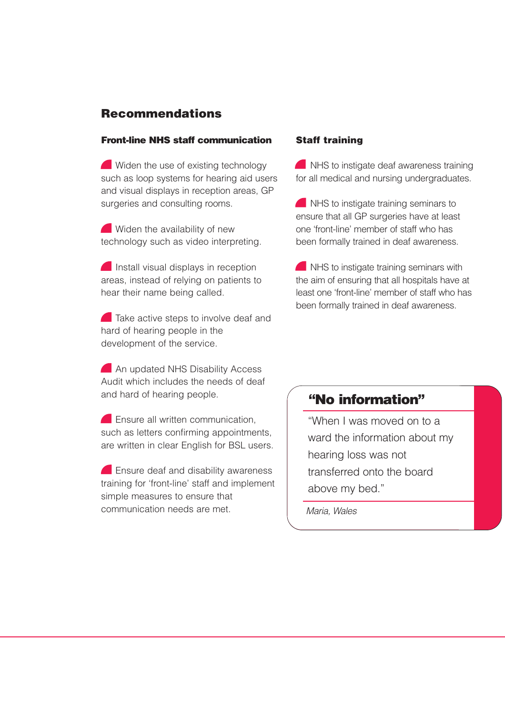## **Recommendations**

#### **Front-line NHS staff communication**

Widen the use of existing technology such as loop systems for hearing aid users and visual displays in reception areas, GP surgeries and consulting rooms.

Widen the availability of new technology such as video interpreting.

**Install visual displays in reception** areas, instead of relying on patients to hear their name being called.

**Take active steps to involve deaf and** hard of hearing people in the development of the service.

**An updated NHS Disability Access** Audit which includes the needs of deaf and hard of hearing people.

**Ensure all written communication,** such as letters confirming appointments, are written in clear English for BSL users.

**Ensure deaf and disability awareness** training for 'front-line' staff and implement simple measures to ensure that communication needs are met.

#### **Staff training**

**NHS** to instigate deaf awareness training for all medical and nursing undergraduates.

**NHS** to instigate training seminars to ensure that all GP surgeries have at least one 'front-line' member of staff who has been formally trained in deaf awareness.

**NHS** to instigate training seminars with the aim of ensuring that all hospitals have at least one 'front-line' member of staff who has been formally trained in deaf awareness.

## **"No information"**

"When I was moved on to a ward the information about my hearing loss was not transferred onto the board above my bed."

*Maria, Wales*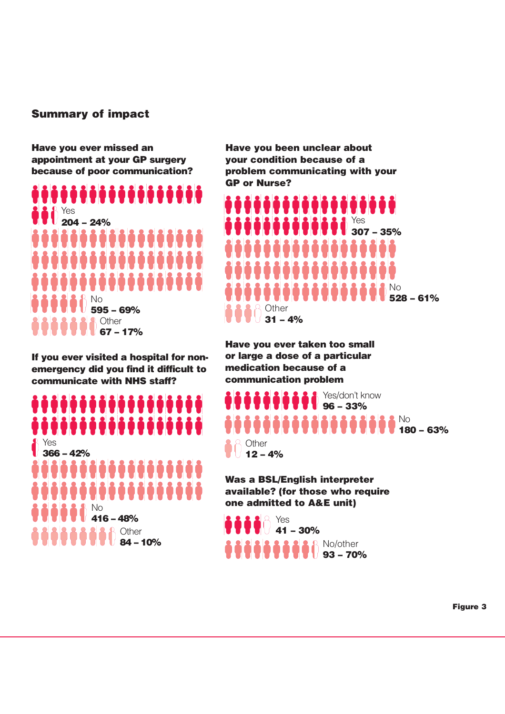#### **Summary of impact**

**Have you ever missed an appointment at your GP surgery because of poor communication?**

................. Yes **204 – 24%**  6666666666666666 000000000000 6666666666 No **595 – 69% Other 67 – 17%** 

**If you ever visited a hospital for nonemergency did you find it difficult to communicate with NHS staff?**

# ,,,,,,,,,,,,,,,,,,, ,,,,,,,,,,,,,,,,,, Yes

**366 – 42%** 6666666666666666 6666666666666666 No **416 – 48% Other 84 – 10%**

**Have you been unclear about your condition because of a problem communicating with your GP or Nurse?**



**Have you ever taken too small or large a dose of a particular medication because of a communication problem**

Yes/don't know **96 – 33%** No **180 – 63%** Other **12 – 4%**

**Was a BSL/English interpreter available? (for those who require one admitted to A&E unit)**

Yes **41 – 30%**  No/other **93 – 70%** 

**Figure 3**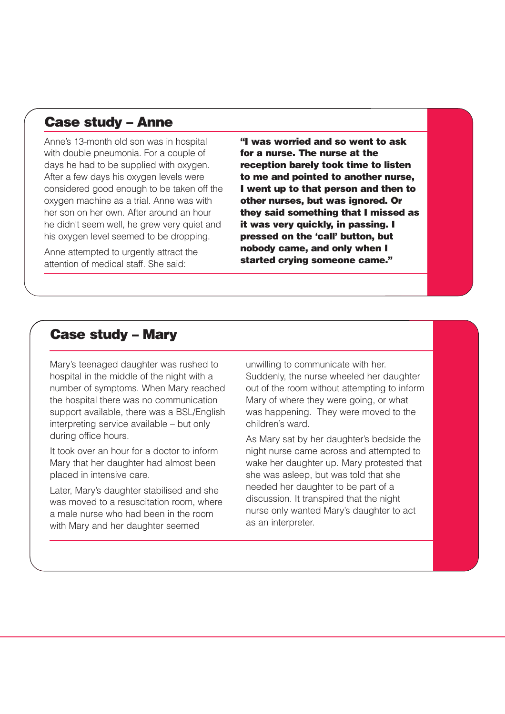## **Case study – Anne**

Anne's 13-month old son was in hospital with double pneumonia. For a couple of days he had to be supplied with oxygen. After a few days his oxygen levels were considered good enough to be taken off the oxygen machine as a trial. Anne was with her son on her own. After around an hour he didn't seem well, he grew very quiet and his oxygen level seemed to be dropping.

Anne attempted to urgently attract the attention of medical staff. She said:

**"I was worried and so went to ask for a nurse. The nurse at the reception barely took time to listen to me and pointed to another nurse, I went up to that person and then to other nurses, but was ignored. Or they said something that I missed as it was very quickly, in passing. I pressed on the 'call' button, but nobody came, and only when I started crying someone came."**

## **Case study – Mary**

Mary's teenaged daughter was rushed to hospital in the middle of the night with a number of symptoms. When Mary reached the hospital there was no communication support available, there was a BSL/English interpreting service available – but only during office hours.

It took over an hour for a doctor to inform Mary that her daughter had almost been placed in intensive care.

Later, Mary's daughter stabilised and she was moved to a resuscitation room, where a male nurse who had been in the room with Mary and her daughter seemed

unwilling to communicate with her. Suddenly, the nurse wheeled her daughter out of the room without attempting to inform Mary of where they were going, or what was happening. They were moved to the children's ward.

As Mary sat by her daughter's bedside the night nurse came across and attempted to wake her daughter up. Mary protested that she was asleep, but was told that she needed her daughter to be part of a discussion. It transpired that the night nurse only wanted Mary's daughter to act as an interpreter.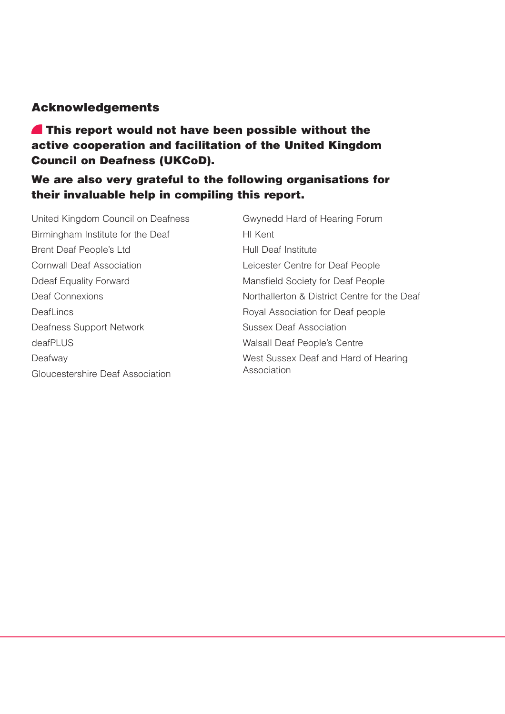## **Acknowledgements**

**This report would not have been possible without the active cooperation and facilitation of the United Kingdom Council on Deafness (UKCoD).** 

## **We are also very grateful to the following organisations for their invaluable help in compiling this report.**

United Kingdom Council on Deafness Birmingham Institute for the Deaf Brent Deaf People's Ltd Cornwall Deaf Association Ddeaf Equality Forward Deaf Connexions DeafLincs Deafness Support Network deafPLUS Deafway Gloucestershire Deaf Association

Gwynedd Hard of Hearing Forum HI Kent Hull Deaf Institute Leicester Centre for Deaf People Mansfield Society for Deaf People Northallerton & District Centre for the Deaf Royal Association for Deaf people Sussex Deaf Association Walsall Deaf People's Centre West Sussex Deaf and Hard of Hearing Association